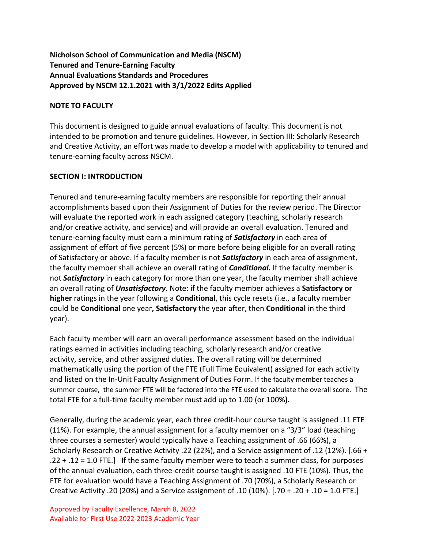### **Nicholson School of Communication and Media (NSCM) Tenured and Tenure-Earning Faculty Annual Evaluations Standards and Procedures Approved by NSCM 12.1.2021 with 3/1/2022 Edits Applied**

### **NOTE TO FACULTY**

This document is designed to guide annual evaluations of faculty. This document is not intended to be promotion and tenure guidelines. However, in Section III: Scholarly Research and Creative Activity, an effort was made to develop a model with applicability to tenured and tenure-earning faculty across NSCM.

### **SECTION I: INTRODUCTION**

Tenured and tenure-earning faculty members are responsible for reporting their annual accomplishments based upon their Assignment of Duties for the review period. The Director will evaluate the reported work in each assigned category (teaching, scholarly research and/or creative activity, and service) and will provide an overall evaluation. Tenured and tenure-earning faculty must earn a minimum rating of *Satisfactory* in each area of assignment of effort of five percent (5%) or more before being eligible for an overall rating of Satisfactory or above. If a faculty member is not *Satisfactory* in each area of assignment, the faculty member shall achieve an overall rating of *Conditional.* If the faculty member is not *Satisfactory* in each category for more than one year, the faculty member shall achieve an overall rating of *Unsatisfactory*. Note: if the faculty member achieves a **Satisfactory or higher** ratings in the year following a **Conditional**, this cycle resets (i.e., a faculty member could be **Conditional** one year**, Satisfactory** the year after, then **Conditional** in the third year).

Each faculty member will earn an overall performance assessment based on the individual ratings earned in activities including teaching, scholarly research and/or creative activity, service, and other assigned duties. The overall rating will be determined mathematically using the portion of the FTE (Full Time Equivalent) assigned for each activity and listed on the In-Unit Faculty Assignment of Duties Form. If the faculty member teaches a summer course, the summer FTE will be factored into the FTE used to calculate the overall score. The total FTE for a full-time faculty member must add up to 1.00 (or 100**%).** 

Generally, during the academic year, each three credit-hour course taught is assigned .11 FTE (11%). For example, the annual assignment for a faculty member on a "3/3" load (teaching three courses a semester) would typically have a Teaching assignment of .66 (66%), a Scholarly Research or Creative Activity .22 (22%), and a Service assignment of .12 (12%). [.66 + .22 + .12 = 1.0 FTE.] If the same faculty member were to teach a summer class, for purposes of the annual evaluation, each three-credit course taught is assigned .10 FTE (10%). Thus, the FTE for evaluation would have a Teaching Assignment of .70 (70%), a Scholarly Research or Creative Activity .20 (20%) and a Service assignment of .10 (10%). [.70 + .20 + .10 = 1.0 FTE.]

Approved by Faculty Excellence, March 8, 2022 Available for First Use 2022-2023 Academic Year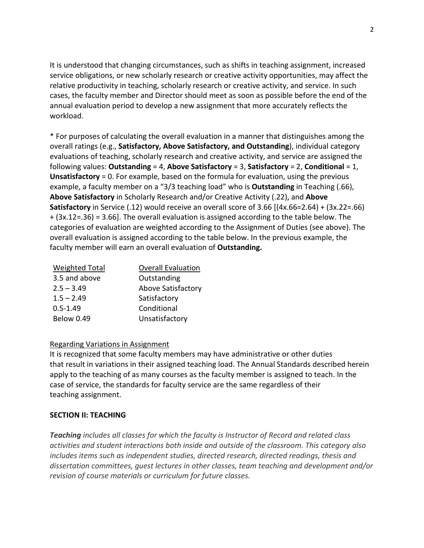It is understood that changing circumstances, such as shifts in teaching assignment, increased service obligations, or new scholarly research or creative activity opportunities, may affect the relative productivity in teaching, scholarly research or creative activity, and service. In such cases, the faculty member and Director should meet as soon as possible before the end of the annual evaluation period to develop a new assignment that more accurately reflects the workload.

\* For purposes of calculating the overall evaluation in a manner that distinguishes among the overall ratings (e.g., **Satisfactory, Above Satisfactory, and Outstanding**), individual category evaluations of teaching, scholarly research and creative activity, and service are assigned the following values: **Outstanding** = 4, **Above Satisfactory** = 3, **Satisfactory** = 2, **Conditional** = 1, **Unsatisfactory** = 0. For example, based on the formula for evaluation, using the previous example, a faculty member on a "3/3 teaching load" who is **Outstanding** in Teaching (.66), **Above Satisfactory** in Scholarly Research and/or Creative Activity (.22), and **Above Satisfactory** in Service (.12) would receive an overall score of 3.66 [(4x.66=2.64) + (3x.22=.66) + (3x.12=.36) = 3.66]. The overall evaluation is assigned according to the table below. The categories of evaluation are weighted according to the Assignment of Duties (see above). The overall evaluation is assigned according to the table below. In the previous example, the faculty member will earn an overall evaluation of **Outstanding.**

| <b>Weighted Total</b> | <b>Overall Evaluation</b> |  |
|-----------------------|---------------------------|--|
| 3.5 and above         | Outstanding               |  |
| $2.5 - 3.49$          | <b>Above Satisfactory</b> |  |
| $1.5 - 2.49$          | Satisfactory              |  |
| $0.5 - 1.49$          | Conditional               |  |
| <b>Below 0.49</b>     | Unsatisfactory            |  |

### Regarding Variations in Assignment

It is recognized that some faculty members may have administrative or other duties that result in variations in their assigned teaching load. The Annual Standards described herein apply to the teaching of as many courses as the faculty member is assigned to teach. In the case of service, the standards for faculty service are the same regardless of their teaching assignment.

#### **SECTION II: TEACHING**

*Teaching includes all classes for which the faculty is Instructor of Record and related class activities and student interactions both inside and outside of the classroom. This category also includes items such as independent studies, directed research, directed readings, thesis and dissertation committees, guest lectures in other classes, team teaching and development and/or revision of course materials or curriculum for future classes.*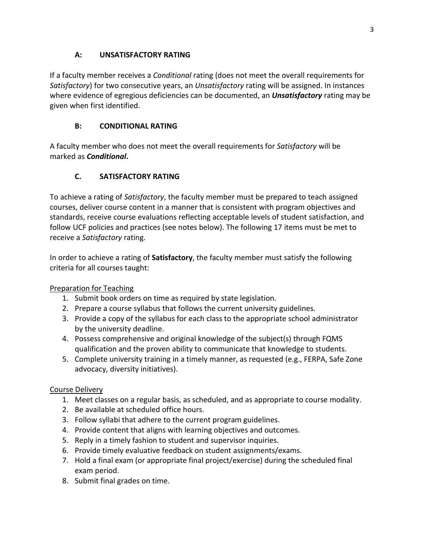## **A: UNSATISFACTORY RATING**

If a faculty member receives a *Conditional* rating (does not meet the overall requirements for *Satisfactory*) for two consecutive years, an *Unsatisfactory* rating will be assigned. In instances where evidence of egregious deficiencies can be documented, an *Unsatisfactory* rating may be given when first identified.

## **B: CONDITIONAL RATING**

A faculty member who does not meet the overall requirements for *Satisfactory* will be marked as *Conditional***.**

# **C. SATISFACTORY RATING**

To achieve a rating of *Satisfactory*, the faculty member must be prepared to teach assigned courses, deliver course content in a manner that is consistent with program objectives and standards, receive course evaluations reflecting acceptable levels of student satisfaction, and follow UCF policies and practices (see notes below). The following 17 items must be met to receive a *Satisfactory* rating.

In order to achieve a rating of **Satisfactory**, the faculty member must satisfy the following criteria for all courses taught:

## Preparation for Teaching

- 1. Submit book orders on time as required by state legislation.
- 2. Prepare a course syllabus that follows the current university guidelines.
- 3. Provide a copy of the syllabus for each class to the appropriate school administrator by the university deadline.
- 4. Possess comprehensive and original knowledge of the subject(s) through FQMS qualification and the proven ability to communicate that knowledge to students.
- 5. Complete university training in a timely manner, as requested (e.g., FERPA, Safe Zone advocacy, diversity initiatives).

### Course Delivery

- 1. Meet classes on a regular basis, as scheduled, and as appropriate to course modality.
- 2. Be available at scheduled office hours.
- 3. Follow syllabi that adhere to the current program guidelines.
- 4. Provide content that aligns with learning objectives and outcomes.
- 5. Reply in a timely fashion to student and supervisor inquiries.
- 6. Provide timely evaluative feedback on student assignments/exams.
- 7. Hold a final exam (or appropriate final project/exercise) during the scheduled final exam period.
- 8. Submit final grades on time.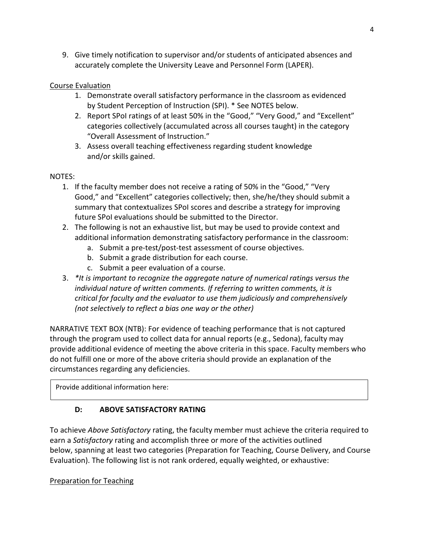9. Give timely notification to supervisor and/or students of anticipated absences and accurately complete the University Leave and Personnel Form (LAPER).

### Course Evaluation

- 1. Demonstrate overall satisfactory performance in the classroom as evidenced by Student Perception of Instruction (SPI). \* See NOTES below.
- 2. Report SPoI ratings of at least 50% in the "Good," "Very Good," and "Excellent" categories collectively (accumulated across all courses taught) in the category "Overall Assessment of Instruction."
- 3. Assess overall teaching effectiveness regarding student knowledge and/or skills gained.

### NOTES:

- 1. If the faculty member does not receive a rating of 50% in the "Good," "Very Good," and "Excellent" categories collectively; then, she/he/they should submit a summary that contextualizes SPoI scores and describe a strategy for improving future SPoI evaluations should be submitted to the Director.
- 2. The following is not an exhaustive list, but may be used to provide context and additional information demonstrating satisfactory performance in the classroom:
	- a. Submit a pre-test/post-test assessment of course objectives.
	- b. Submit a grade distribution for each course.
	- c. Submit a peer evaluation of a course.
- 3. *\*It is important to recognize the aggregate nature of numerical ratings versus the*  individual nature of written comments. If referring to written comments, it is *critical for faculty and the evaluator to use them judiciously and comprehensively (not selectively to reflect a bias one way or the other)*

NARRATIVE TEXT BOX (NTB): For evidence of teaching performance that is not captured through the program used to collect data for annual reports (e.g., Sedona), faculty may provide additional evidence of meeting the above criteria in this space. Faculty members who do not fulfill one or more of the above criteria should provide an explanation of the circumstances regarding any deficiencies.

Provide additional information here:

## **D: ABOVE SATISFACTORY RATING**

To achieve *Above Satisfactory* rating, the faculty member must achieve the criteria required to earn a *Satisfactory* rating and accomplish three or more of the activities outlined below, spanning at least two categories (Preparation for Teaching, Course Delivery, and Course Evaluation). The following list is not rank ordered, equally weighted, or exhaustive:

## Preparation for Teaching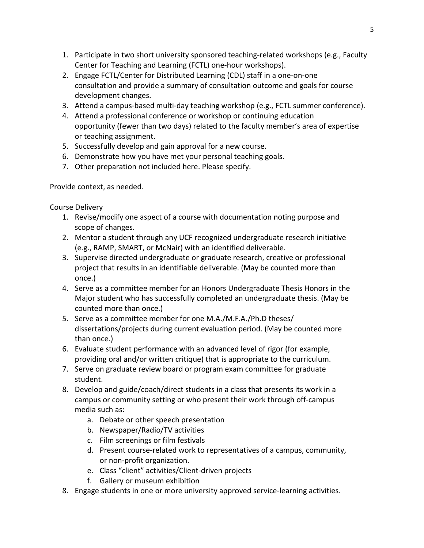- 1. Participate in two short university sponsored teaching-related workshops (e.g., Faculty Center for Teaching and Learning (FCTL) one-hour workshops).
- 2. Engage FCTL/Center for Distributed Learning (CDL) staff in a one-on-one consultation and provide a summary of consultation outcome and goals for course development changes.
- 3. Attend a campus-based multi-day teaching workshop (e.g., FCTL summer conference).
- 4. Attend a professional conference or workshop or continuing education opportunity (fewer than two days) related to the faculty member's area of expertise or teaching assignment.
- 5. Successfully develop and gain approval for a new course.
- 6. Demonstrate how you have met your personal teaching goals.
- 7. Other preparation not included here. Please specify.

Provide context, as needed.

### Course Delivery

- 1. Revise/modify one aspect of a course with documentation noting purpose and scope of changes.
- 2. Mentor a student through any UCF recognized undergraduate research initiative (e.g., RAMP, SMART, or McNair) with an identified deliverable.
- 3. Supervise directed undergraduate or graduate research, creative or professional project that results in an identifiable deliverable. (May be counted more than once.)
- 4. Serve as a committee member for an Honors Undergraduate Thesis Honors in the Major student who has successfully completed an undergraduate thesis. (May be counted more than once.)
- 5. Serve as a committee member for one M.A./M.F.A./Ph.D theses/ dissertations/projects during current evaluation period. (May be counted more than once.)
- 6. Evaluate student performance with an advanced level of rigor (for example, providing oral and/or written critique) that is appropriate to the curriculum.
- 7. Serve on graduate review board or program exam committee for graduate student.
- 8. Develop and guide/coach/direct students in a class that presents its work in a campus or community setting or who present their work through off-campus media such as:
	- a. Debate or other speech presentation
	- b. Newspaper/Radio/TV activities
	- c. Film screenings or film festivals
	- d. Present course-related work to representatives of a campus, community, or non-profit organization.
	- e. Class "client" activities/Client-driven projects
	- f. Gallery or museum exhibition
- 8. Engage students in one or more university approved service-learning activities.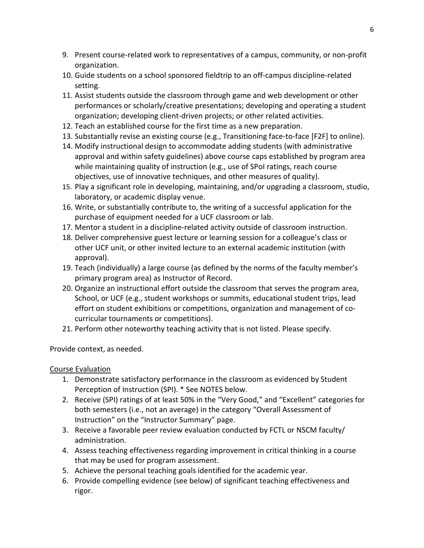- 9. Present course-related work to representatives of a campus, community, or non-profit organization.
- 10. Guide students on a school sponsored fieldtrip to an off-campus discipline-related setting.
- 11. Assist students outside the classroom through game and web development or other performances or scholarly/creative presentations; developing and operating a student organization; developing client-driven projects; or other related activities.
- 12. Teach an established course for the first time as a new preparation.
- 13. Substantially revise an existing course (e.g., Transitioning face-to-face [F2F] to online).
- 14. Modify instructional design to accommodate adding students (with administrative approval and within safety guidelines) above course caps established by program area while maintaining quality of instruction (e.g., use of SPoI ratings, reach course objectives, use of innovative techniques, and other measures of quality).
- 15. Play a significant role in developing, maintaining, and/or upgrading a classroom, studio, laboratory, or academic display venue.
- 16. Write, or substantially contribute to, the writing of a successful application for the purchase of equipment needed for a UCF classroom or lab.
- 17. Mentor a student in a discipline-related activity outside of classroom instruction.
- 18. Deliver comprehensive guest lecture or learning session for a colleague's class or other UCF unit, or other invited lecture to an external academic institution (with approval).
- 19. Teach (individually) a large course (as defined by the norms of the faculty member's primary program area) as Instructor of Record.
- 20. Organize an instructional effort outside the classroom that serves the program area, School, or UCF (e.g., student workshops or summits, educational student trips, lead effort on student exhibitions or competitions, organization and management of cocurricular tournaments or competitions).
- 21. Perform other noteworthy teaching activity that is not listed. Please specify.

Provide context, as needed.

Course Evaluation

- 1. Demonstrate satisfactory performance in the classroom as evidenced by Student Perception of Instruction (SPI). \* See NOTES below.
- 2. Receive (SPI) ratings of at least 50% in the "Very Good," and "Excellent" categories for both semesters (i.e., not an average) in the category "Overall Assessment of Instruction" on the "Instructor Summary" page.
- 3. Receive a favorable peer review evaluation conducted by FCTL or NSCM faculty/ administration.
- 4. Assess teaching effectiveness regarding improvement in critical thinking in a course that may be used for program assessment.
- 5. Achieve the personal teaching goals identified for the academic year.
- 6. Provide compelling evidence (see below) of significant teaching effectiveness and rigor.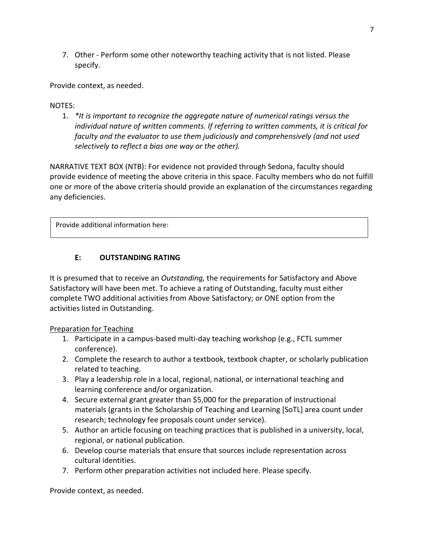7. Other - Perform some other noteworthy teaching activity that is not listed. Please specify.

Provide context, as needed.

NOTES:

1. *\*It is important to recognize the aggregate nature of numerical ratings versus the individual nature of written comments. If referring to written comments, it is critical for faculty and the evaluator to use them judiciously and comprehensively (and not used selectively to reflect a bias one way or the other).*

NARRATIVE TEXT BOX (NTB): For evidence not provided through Sedona, faculty should provide evidence of meeting the above criteria in this space. Faculty members who do not fulfill one or more of the above criteria should provide an explanation of the circumstances regarding any deficiencies.

Provide additional information here:

### **E: OUTSTANDING RATING**

It is presumed that to receive an *Outstanding,* the requirements for Satisfactory and Above Satisfactory will have been met. To achieve a rating of Outstanding, faculty must either complete TWO additional activities from Above Satisfactory; or ONE option from the activities listed in Outstanding.

### Preparation for Teaching

- 1. Participate in a campus-based multi-day teaching workshop (e.g., FCTL summer conference).
- 2. Complete the research to author a textbook, textbook chapter, or scholarly publication related to teaching.
- 3. Play a leadership role in a local, regional, national, or international teaching and learning conference and/or organization.
- 4. Secure external grant greater than \$5,000 for the preparation of instructional materials (grants in the Scholarship of Teaching and Learning [SoTL] area count under research; technology fee proposals count under service).
- 5. Author an article focusing on teaching practices that is published in a university, local, regional, or national publication.
- 6. Develop course materials that ensure that sources include representation across cultural identities.
- 7. Perform other preparation activities not included here. Please specify.

Provide context, as needed.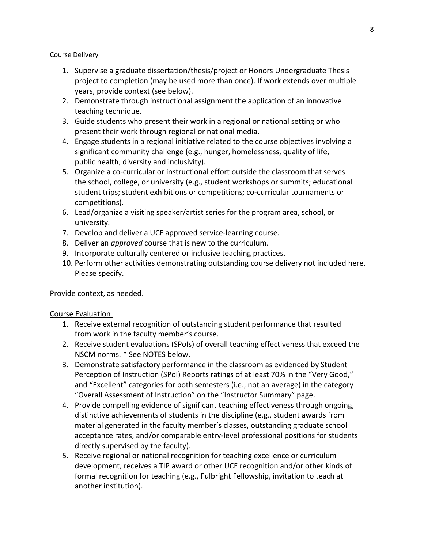#### Course Delivery

- 1. Supervise a graduate dissertation/thesis/project or Honors Undergraduate Thesis project to completion (may be used more than once). If work extends over multiple years, provide context (see below).
- 2. Demonstrate through instructional assignment the application of an innovative teaching technique.
- 3. Guide students who present their work in a regional or national setting or who present their work through regional or national media.
- 4. Engage students in a regional initiative related to the course objectives involving a significant community challenge (e.g., hunger, homelessness, quality of life, public health, diversity and inclusivity).
- 5. Organize a co-curricular or instructional effort outside the classroom that serves the school, college, or university (e.g., student workshops or summits; educational student trips; student exhibitions or competitions; co-curricular tournaments or competitions).
- 6. Lead/organize a visiting speaker/artist series for the program area, school, or university.
- 7. Develop and deliver a UCF approved service-learning course.
- 8. Deliver an *approved* course that is new to the curriculum.
- 9. Incorporate culturally centered or inclusive teaching practices.
- 10. Perform other activities demonstrating outstanding course delivery not included here. Please specify.

Provide context, as needed.

### Course Evaluation

- 1. Receive external recognition of outstanding student performance that resulted from work in the faculty member's course.
- 2. Receive student evaluations (SPoIs) of overall teaching effectiveness that exceed the NSCM norms. \* See NOTES below.
- 3. Demonstrate satisfactory performance in the classroom as evidenced by Student Perception of Instruction (SPoI) Reports ratings of at least 70% in the "Very Good," and "Excellent" categories for both semesters (i.e., not an average) in the category "Overall Assessment of Instruction" on the "Instructor Summary" page.
- 4. Provide compelling evidence of significant teaching effectiveness through ongoing, distinctive achievements of students in the discipline (e.g., student awards from material generated in the faculty member's classes, outstanding graduate school acceptance rates, and/or comparable entry-level professional positions for students directly supervised by the faculty).
- 5. Receive regional or national recognition for teaching excellence or curriculum development, receives a TIP award or other UCF recognition and/or other kinds of formal recognition for teaching (e.g., Fulbright Fellowship, invitation to teach at another institution).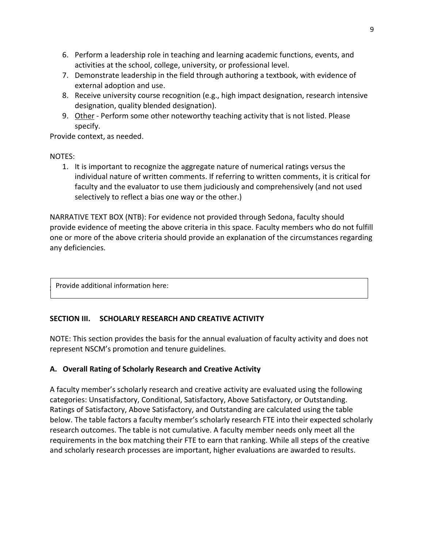- 6. Perform a leadership role in teaching and learning academic functions, events, and activities at the school, college, university, or professional level.
- 7. Demonstrate leadership in the field through authoring a textbook, with evidence of external adoption and use.
- 8. Receive university course recognition (e.g., high impact designation, research intensive designation, quality blended designation).
- 9. Other Perform some other noteworthy teaching activity that is not listed. Please specify.

Provide context, as needed.

NOTES:

1. It is important to recognize the aggregate nature of numerical ratings versus the individual nature of written comments. If referring to written comments, it is critical for faculty and the evaluator to use them judiciously and comprehensively (and not used selectively to reflect a bias one way or the other.)

NARRATIVE TEXT BOX (NTB): For evidence not provided through Sedona, faculty should provide evidence of meeting the above criteria in this space. Faculty members who do not fulfill one or more of the above criteria should provide an explanation of the circumstances regarding any deficiencies.

**Provide additional information here:** 

### **SECTION III. SCHOLARLY RESEARCH AND CREATIVE ACTIVITY**

NOTE: This section provides the basis for the annual evaluation of faculty activity and does not represent NSCM's promotion and tenure guidelines.

## **A. Overall Rating of Scholarly Research and Creative Activity**

A faculty member's scholarly research and creative activity are evaluated using the following categories: Unsatisfactory, Conditional, Satisfactory, Above Satisfactory, or Outstanding. Ratings of Satisfactory, Above Satisfactory, and Outstanding are calculated using the table below. The table factors a faculty member's scholarly research FTE into their expected scholarly research outcomes. The table is not cumulative. A faculty member needs only meet all the requirements in the box matching their FTE to earn that ranking. While all steps of the creative and scholarly research processes are important, higher evaluations are awarded to results.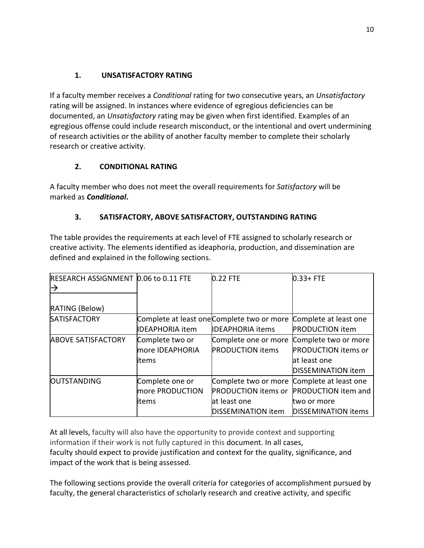## **1. UNSATISFACTORY RATING**

If a faculty member receives a *Conditional* rating for two consecutive years, an *Unsatisfactory* rating will be assigned. In instances where evidence of egregious deficiencies can be documented, an *Unsatisfactory* rating may be given when first identified. Examples of an egregious offense could include research misconduct, or the intentional and overt undermining of research activities or the ability of another faculty member to complete their scholarly research or creative activity.

## **2. CONDITIONAL RATING**

A faculty member who does not meet the overall requirements for *Satisfactory* will be marked as *Conditional***.**

# **3. SATISFACTORY, ABOVE SATISFACTORY, OUTSTANDING RATING**

The table provides the requirements at each level of FTE assigned to scholarly research or creative activity. The elements identified as ideaphoria, production, and dissemination are defined and explained in the following sections.

| <b>RESEARCH ASSIGNMENT 0.06 to 0.11 FTE</b><br>$\rightarrow$ |                        | 0.22 FTE                                   | $0.33 + FTE$               |
|--------------------------------------------------------------|------------------------|--------------------------------------------|----------------------------|
| RATING (Below)                                               |                        |                                            |                            |
| <b>SATISFACTORY</b>                                          |                        | Complete at least one Complete two or more | Complete at least one      |
|                                                              | <b>IDEAPHORIA item</b> | <b>IDEAPHORIA items</b>                    | <b>PRODUCTION item</b>     |
| <b>ABOVE SATISFACTORY</b>                                    | Complete two or        | Complete one or more                       | Complete two or more       |
|                                                              | more IDEAPHORIA        | <b>PRODUCTION items</b>                    | <b>PRODUCTION items or</b> |
|                                                              | items                  |                                            | at least one               |
|                                                              |                        |                                            | DISSEMINATION item         |
| <b>OUTSTANDING</b>                                           | Complete one or        | Complete two or more Complete at least one |                            |
|                                                              | more PRODUCTION        | <b>PRODUCTION</b> items or                 | <b>PRODUCTION</b> item and |
|                                                              | items                  | at least one                               | two or more                |
|                                                              |                        | DISSEMINATION item                         | <b>DISSEMINATION items</b> |

At all levels, faculty will also have the opportunity to provide context and supporting information if their work is not fully captured in this document. In all cases, faculty should expect to provide justification and context for the quality, significance, and impact of the work that is being assessed.

The following sections provide the overall criteria for categories of accomplishment pursued by faculty, the general characteristics of scholarly research and creative activity, and specific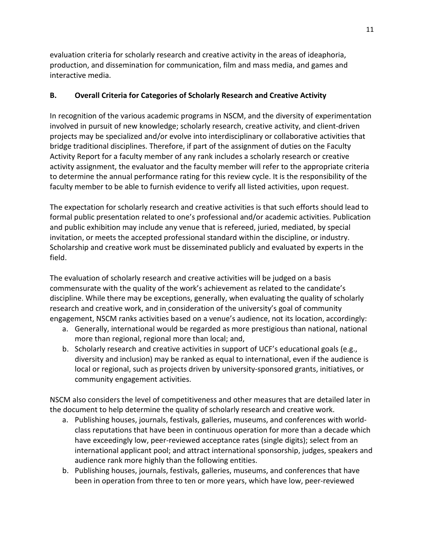evaluation criteria for scholarly research and creative activity in the areas of ideaphoria, production, and dissemination for communication, film and mass media, and games and interactive media.

## **B. Overall Criteria for Categories of Scholarly Research and Creative Activity**

In recognition of the various academic programs in NSCM, and the diversity of experimentation involved in pursuit of new knowledge; scholarly research, creative activity, and client-driven projects may be specialized and/or evolve into interdisciplinary or collaborative activities that bridge traditional disciplines. Therefore, if part of the assignment of duties on the Faculty Activity Report for a faculty member of any rank includes a scholarly research or creative activity assignment, the evaluator and the faculty member will refer to the appropriate criteria to determine the annual performance rating for this review cycle. It is the responsibility of the faculty member to be able to furnish evidence to verify all listed activities, upon request.

The expectation for scholarly research and creative activities is that such efforts should lead to formal public presentation related to one's professional and/or academic activities. Publication and public exhibition may include any venue that is refereed, juried, mediated, by special invitation, or meets the accepted professional standard within the discipline, or industry. Scholarship and creative work must be disseminated publicly and evaluated by experts in the field.

The evaluation of scholarly research and creative activities will be judged on a basis commensurate with the quality of the work's achievement as related to the candidate's discipline. While there may be exceptions, generally, when evaluating the quality of scholarly research and creative work, and in consideration of the university's goal of community engagement, NSCM ranks activities based on a venue's audience, not its location, accordingly:

- a. Generally, international would be regarded as more prestigious than national, national more than regional, regional more than local; and,
- b. Scholarly research and creative activities in support of UCF's educational goals (e.g., diversity and inclusion) may be ranked as equal to international, even if the audience is local or regional, such as projects driven by university-sponsored grants, initiatives, or community engagement activities.

NSCM also considers the level of competitiveness and other measures that are detailed later in the document to help determine the quality of scholarly research and creative work.

- a. Publishing houses, journals, festivals, galleries, museums, and conferences with worldclass reputations that have been in continuous operation for more than a decade which have exceedingly low, peer-reviewed acceptance rates (single digits); select from an international applicant pool; and attract international sponsorship, judges, speakers and audience rank more highly than the following entities.
- b. Publishing houses, journals, festivals, galleries, museums, and conferences that have been in operation from three to ten or more years, which have low, peer-reviewed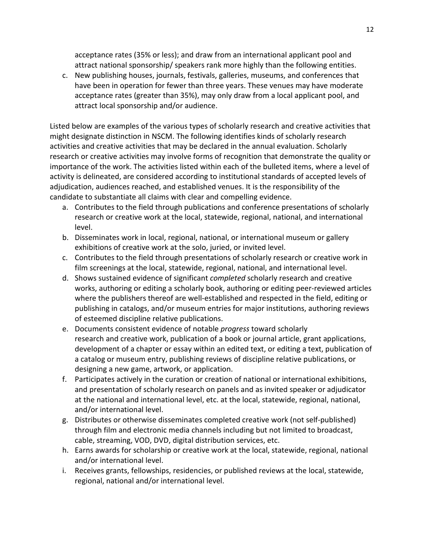acceptance rates (35% or less); and draw from an international applicant pool and attract national sponsorship/ speakers rank more highly than the following entities.

c. New publishing houses, journals, festivals, galleries, museums, and conferences that have been in operation for fewer than three years. These venues may have moderate acceptance rates (greater than 35%), may only draw from a local applicant pool, and attract local sponsorship and/or audience.

Listed below are examples of the various types of scholarly research and creative activities that might designate distinction in NSCM. The following identifies kinds of scholarly research activities and creative activities that may be declared in the annual evaluation. Scholarly research or creative activities may involve forms of recognition that demonstrate the quality or importance of the work. The activities listed within each of the bulleted items, where a level of activity is delineated, are considered according to institutional standards of accepted levels of adjudication, audiences reached, and established venues. It is the responsibility of the candidate to substantiate all claims with clear and compelling evidence.

- a. Contributes to the field through publications and conference presentations of scholarly research or creative work at the local, statewide, regional, national, and international level.
- b. Disseminates work in local, regional, national, or international museum or gallery exhibitions of creative work at the solo, juried, or invited level.
- c. Contributes to the field through presentations of scholarly research or creative work in film screenings at the local, statewide, regional, national, and international level.
- d. Shows sustained evidence of significant *completed* scholarly research and creative works, authoring or editing a scholarly book, authoring or editing peer-reviewed articles where the publishers thereof are well-established and respected in the field, editing or publishing in catalogs, and/or museum entries for major institutions, authoring reviews of esteemed discipline relative publications.
- e. Documents consistent evidence of notable *progress* toward scholarly research and creative work, publication of a book or journal article, grant applications, development of a chapter or essay within an edited text, or editing a text, publication of a catalog or museum entry, publishing reviews of discipline relative publications, or designing a new game, artwork, or application.
- f. Participates actively in the curation or creation of national or international exhibitions, and presentation of scholarly research on panels and as invited speaker or adjudicator at the national and international level, etc. at the local, statewide, regional, national, and/or international level.
- g. Distributes or otherwise disseminates completed creative work (not self-published) through film and electronic media channels including but not limited to broadcast, cable, streaming, VOD, DVD, digital distribution services, etc.
- h. Earns awards for scholarship or creative work at the local, statewide, regional, national and/or international level.
- i. Receives grants, fellowships, residencies, or published reviews at the local, statewide, regional, national and/or international level.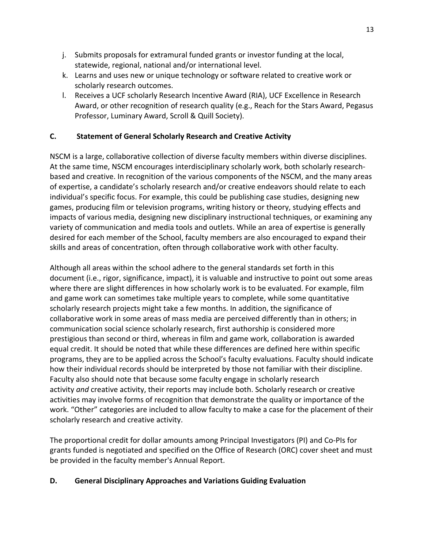- j. Submits proposals for extramural funded grants or investor funding at the local, statewide, regional, national and/or international level.
- k. Learns and uses new or unique technology or software related to creative work or scholarly research outcomes.
- l. Receives a UCF scholarly Research Incentive Award (RIA), UCF Excellence in Research Award, or other recognition of research quality (e.g., Reach for the Stars Award, Pegasus Professor, Luminary Award, Scroll & Quill Society).

## **C. Statement of General Scholarly Research and Creative Activity**

NSCM is a large, collaborative collection of diverse faculty members within diverse disciplines. At the same time, NSCM encourages interdisciplinary scholarly work, both scholarly researchbased and creative. In recognition of the various components of the NSCM, and the many areas of expertise, a candidate's scholarly research and/or creative endeavors should relate to each individual's specific focus. For example, this could be publishing case studies, designing new games, producing film or television programs, writing history or theory, studying effects and impacts of various media, designing new disciplinary instructional techniques, or examining any variety of communication and media tools and outlets. While an area of expertise is generally desired for each member of the School, faculty members are also encouraged to expand their skills and areas of concentration, often through collaborative work with other faculty.

Although all areas within the school adhere to the general standards set forth in this document (i.e., rigor, significance, impact), it is valuable and instructive to point out some areas where there are slight differences in how scholarly work is to be evaluated. For example, film and game work can sometimes take multiple years to complete, while some quantitative scholarly research projects might take a few months. In addition, the significance of collaborative work in some areas of mass media are perceived differently than in others; in communication social science scholarly research, first authorship is considered more prestigious than second or third, whereas in film and game work, collaboration is awarded equal credit. It should be noted that while these differences are defined here within specific programs, they are to be applied across the School's faculty evaluations. Faculty should indicate how their individual records should be interpreted by those not familiar with their discipline. Faculty also should note that because some faculty engage in scholarly research activity *and* creative activity, their reports may include both. Scholarly research or creative activities may involve forms of recognition that demonstrate the quality or importance of the work. "Other" categories are included to allow faculty to make a case for the placement of their scholarly research and creative activity.

The proportional credit for dollar amounts among Principal Investigators (PI) and Co-PIs for grants funded is negotiated and specified on the Office of Research (ORC) cover sheet and must be provided in the faculty member's Annual Report.

### **D. General Disciplinary Approaches and Variations Guiding Evaluation**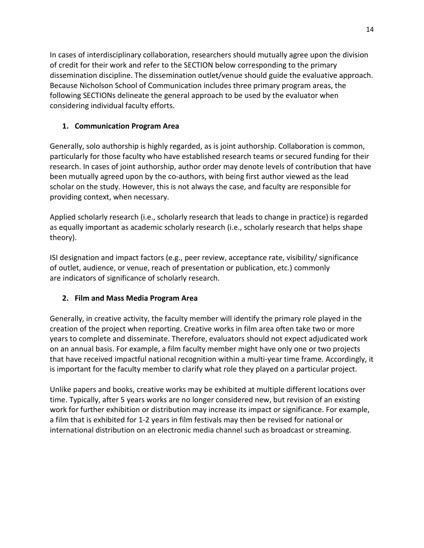In cases of interdisciplinary collaboration, researchers should mutually agree upon the division of credit for their work and refer to the SECTION below corresponding to the primary dissemination discipline. The dissemination outlet/venue should guide the evaluative approach. Because Nicholson School of Communication includes three primary program areas, the following SECTIONs delineate the general approach to be used by the evaluator when considering individual faculty efforts.

## **1. Communication Program Area**

Generally, solo authorship is highly regarded, as is joint authorship. Collaboration is common, particularly for those faculty who have established research teams or secured funding for their research. In cases of joint authorship, author order may denote levels of contribution that have been mutually agreed upon by the co-authors, with being first author viewed as the lead scholar on the study. However, this is not always the case, and faculty are responsible for providing context, when necessary.

Applied scholarly research (i.e., scholarly research that leads to change in practice) is regarded as equally important as academic scholarly research (i.e., scholarly research that helps shape theory).

ISI designation and impact factors (e.g., peer review, acceptance rate, visibility/ significance of outlet, audience, or venue, reach of presentation or publication, etc.) commonly are indicators of significance of scholarly research.

# **2. Film and Mass Media Program Area**

Generally, in creative activity, the faculty member will identify the primary role played in the creation of the project when reporting. Creative works in film area often take two or more years to complete and disseminate. Therefore, evaluators should not expect adjudicated work on an annual basis. For example, a film faculty member might have only one or two projects that have received impactful national recognition within a multi-year time frame. Accordingly, it is important for the faculty member to clarify what role they played on a particular project.

Unlike papers and books, creative works may be exhibited at multiple different locations over time. Typically, after 5 years works are no longer considered new, but revision of an existing work for further exhibition or distribution may increase its impact or significance. For example, a film that is exhibited for 1-2 years in film festivals may then be revised for national or international distribution on an electronic media channel such as broadcast or streaming.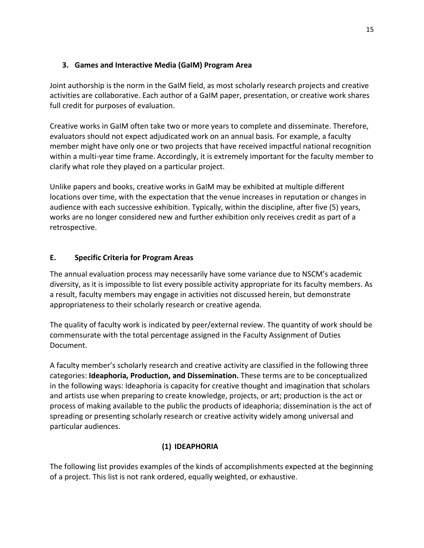### **3. Games and Interactive Media (GaIM) Program Area**

Joint authorship is the norm in the GaIM field, as most scholarly research projects and creative activities are collaborative. Each author of a GaIM paper, presentation, or creative work shares full credit for purposes of evaluation.

Creative works in GaIM often take two or more years to complete and disseminate. Therefore, evaluators should not expect adjudicated work on an annual basis. For example, a faculty member might have only one or two projects that have received impactful national recognition within a multi-year time frame. Accordingly, it is extremely important for the faculty member to clarify what role they played on a particular project.

Unlike papers and books, creative works in GaIM may be exhibited at multiple different locations over time, with the expectation that the venue increases in reputation or changes in audience with each successive exhibition. Typically, within the discipline, after five (5) years, works are no longer considered new and further exhibition only receives credit as part of a retrospective.

## **E. Specific Criteria for Program Areas**

The annual evaluation process may necessarily have some variance due to NSCM's academic diversity, as it is impossible to list every possible activity appropriate for its faculty members. As a result, faculty members may engage in activities not discussed herein, but demonstrate appropriateness to their scholarly research or creative agenda.

The quality of faculty work is indicated by peer/external review. The quantity of work should be commensurate with the total percentage assigned in the Faculty Assignment of Duties Document.

A faculty member's scholarly research and creative activity are classified in the following three categories: **Ideaphoria, Production, and Dissemination.** These terms are to be conceptualized in the following ways: Ideaphoria is capacity for creative thought and imagination that scholars and artists use when preparing to create knowledge, projects, or art; production is the act or process of making available to the public the products of ideaphoria; dissemination is the act of spreading or presenting scholarly research or creative activity widely among universal and particular audiences.

## **(1) IDEAPHORIA**

The following list provides examples of the kinds of accomplishments expected at the beginning of a project. This list is not rank ordered, equally weighted, or exhaustive.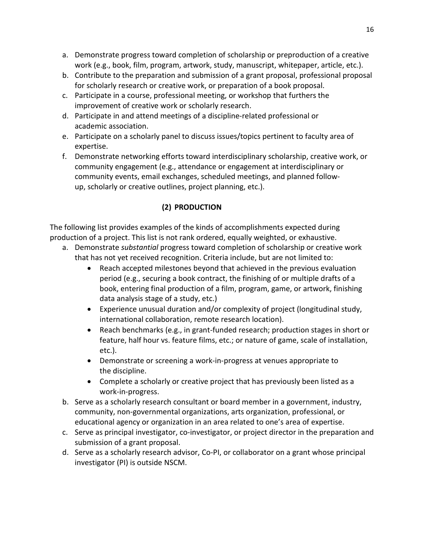- a. Demonstrate progress toward completion of scholarship or preproduction of a creative work (e.g., book, film, program, artwork, study, manuscript, whitepaper, article, etc.).
- b. Contribute to the preparation and submission of a grant proposal, professional proposal for scholarly research or creative work, or preparation of a book proposal.
- c. Participate in a course, professional meeting, or workshop that furthers the improvement of creative work or scholarly research.
- d. Participate in and attend meetings of a discipline-related professional or academic association.
- e. Participate on a scholarly panel to discuss issues/topics pertinent to faculty area of expertise.
- f. Demonstrate networking efforts toward interdisciplinary scholarship, creative work, or community engagement (e.g., attendance or engagement at interdisciplinary or community events, email exchanges, scheduled meetings, and planned followup, scholarly or creative outlines, project planning, etc.).

# **(2) PRODUCTION**

The following list provides examples of the kinds of accomplishments expected during production of a project. This list is not rank ordered, equally weighted, or exhaustive.

- a. Demonstrate *substantial* progress toward completion of scholarship or creative work that has not yet received recognition. Criteria include, but are not limited to:
	- Reach accepted milestones beyond that achieved in the previous evaluation period (e.g., securing a book contract, the finishing of or multiple drafts of a book, entering final production of a film, program, game, or artwork, finishing data analysis stage of a study, etc.)
	- Experience unusual duration and/or complexity of project (longitudinal study, international collaboration, remote research location).
	- Reach benchmarks (e.g., in grant-funded research; production stages in short or feature, half hour vs. feature films, etc.; or nature of game, scale of installation, etc.).
	- Demonstrate or screening a work-in-progress at venues appropriate to the discipline.
	- Complete a scholarly or creative project that has previously been listed as a work-in-progress.
- b. Serve as a scholarly research consultant or board member in a government, industry, community, non-governmental organizations, arts organization, professional, or educational agency or organization in an area related to one's area of expertise.
- c. Serve as principal investigator, co-investigator, or project director in the preparation and submission of a grant proposal.
- d. Serve as a scholarly research advisor, Co-PI, or collaborator on a grant whose principal investigator (PI) is outside NSCM.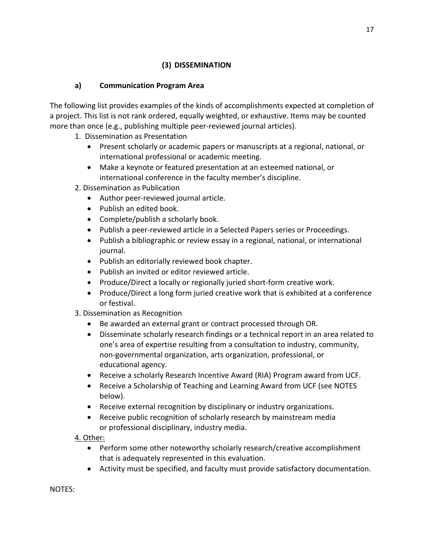## **(3) DISSEMINATION**

# **a) Communication Program Area**

The following list provides examples of the kinds of accomplishments expected at completion of a project. This list is not rank ordered, equally weighted, or exhaustive. Items may be counted more than once (e.g., publishing multiple peer-reviewed journal articles).

- 1. Dissemination as Presentation
	- Present scholarly or academic papers or manuscripts at a regional, national, or international professional or academic meeting.
	- Make a keynote or featured presentation at an esteemed national, or international conference in the faculty member's discipline.
- 2. Dissemination as Publication
	- Author peer-reviewed journal article.
	- Publish an edited book.
	- Complete/publish a scholarly book.
	- Publish a peer-reviewed article in a Selected Papers series or Proceedings.
	- Publish a bibliographic or review essay in a regional, national, or international journal.
	- Publish an editorially reviewed book chapter.
	- Publish an invited or editor reviewed article.
	- Produce/Direct a locally or regionally juried short-form creative work.
	- Produce/Direct a long form juried creative work that is exhibited at a conference or festival.
- 3. Dissemination as Recognition
	- Be awarded an external grant or contract processed through OR.
	- Disseminate scholarly research findings or a technical report in an area related to one's area of expertise resulting from a consultation to industry, community, non-governmental organization, arts organization, professional, or educational agency.
	- Receive a scholarly Research Incentive Award (RIA) Program award from UCF.
	- Receive a Scholarship of Teaching and Learning Award from UCF (see NOTES below).
	- Receive external recognition by disciplinary or industry organizations.
	- Receive public recognition of scholarly research by mainstream media or professional disciplinary, industry media.

4. Other:

- Perform some other noteworthy scholarly research/creative accomplishment that is adequately represented in this evaluation.
- Activity must be specified, and faculty must provide satisfactory documentation.

NOTES: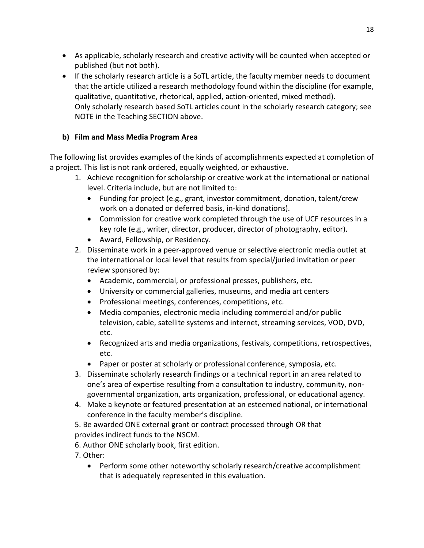- As applicable, scholarly research and creative activity will be counted when accepted or published (but not both).
- If the scholarly research article is a SoTL article, the faculty member needs to document that the article utilized a research methodology found within the discipline (for example, qualitative, quantitative, rhetorical, applied, action-oriented, mixed method). Only scholarly research based SoTL articles count in the scholarly research category; see NOTE in the Teaching SECTION above.

## **b) Film and Mass Media Program Area**

The following list provides examples of the kinds of accomplishments expected at completion of a project. This list is not rank ordered, equally weighted, or exhaustive.

- 1. Achieve recognition for scholarship or creative work at the international or national level. Criteria include, but are not limited to:
	- Funding for project (e.g., grant, investor commitment, donation, talent/crew work on a donated or deferred basis, in-kind donations).
	- Commission for creative work completed through the use of UCF resources in a key role (e.g., writer, director, producer, director of photography, editor).
	- Award, Fellowship, or Residency.
- 2. Disseminate work in a peer-approved venue or selective electronic media outlet at the international or local level that results from special/juried invitation or peer review sponsored by:
	- Academic, commercial, or professional presses, publishers, etc.
	- University or commercial galleries, museums, and media art centers
	- Professional meetings, conferences, competitions, etc.
	- Media companies, electronic media including commercial and/or public television, cable, satellite systems and internet, streaming services, VOD, DVD, etc.
	- Recognized arts and media organizations, festivals, competitions, retrospectives, etc.
	- Paper or poster at scholarly or professional conference, symposia, etc.
- 3. Disseminate scholarly research findings or a technical report in an area related to one's area of expertise resulting from a consultation to industry, community, nongovernmental organization, arts organization, professional, or educational agency.
- 4. Make a keynote or featured presentation at an esteemed national, or international conference in the faculty member's discipline.
- 5. Be awarded ONE external grant or contract processed through OR that provides indirect funds to the NSCM.
- 6. Author ONE scholarly book, first edition.
- 7. Other:
	- Perform some other noteworthy scholarly research/creative accomplishment that is adequately represented in this evaluation.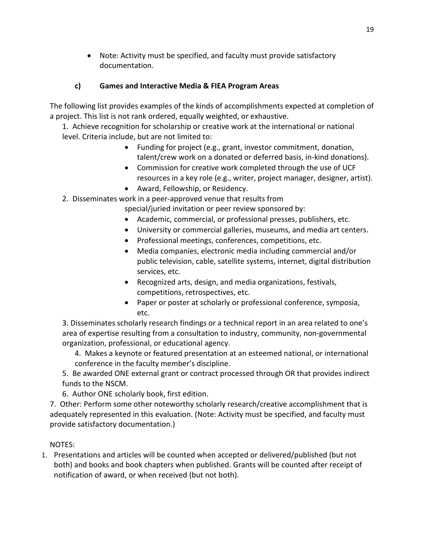• Note: Activity must be specified, and faculty must provide satisfactory documentation.

## **c) Games and Interactive Media & FIEA Program Areas**

The following list provides examples of the kinds of accomplishments expected at completion of a project. This list is not rank ordered, equally weighted, or exhaustive.

1. Achieve recognition for scholarship or creative work at the international or national level. Criteria include, but are not limited to:

- Funding for project (e.g., grant, investor commitment, donation, talent/crew work on a donated or deferred basis, in-kind donations).
- Commission for creative work completed through the use of UCF resources in a key role (e.g., writer, project manager, designer, artist).
- Award, Fellowship, or Residency.
- 2. Disseminates work in a peer-approved venue that results from

special/juried invitation or peer review sponsored by:

- Academic, commercial, or professional presses, publishers, etc.
- University or commercial galleries, museums, and media art centers.
- Professional meetings, conferences, competitions, etc.
- Media companies, electronic media including commercial and/or public television, cable, satellite systems, internet, digital distribution services, etc.
- Recognized arts, design, and media organizations, festivals, competitions, retrospectives, etc.
- Paper or poster at scholarly or professional conference, symposia, etc.

3. Disseminates scholarly research findings or a technical report in an area related to one's area of expertise resulting from a consultation to industry, community, non-governmental organization, professional, or educational agency.

4. Makes a keynote or featured presentation at an esteemed national, or international conference in the faculty member's discipline.

5. Be awarded ONE external grant or contract processed through OR that provides indirect funds to the NSCM.

6. Author ONE scholarly book, first edition.

7. Other: Perform some other noteworthy scholarly research/creative accomplishment that is adequately represented in this evaluation. (Note: Activity must be specified, and faculty must provide satisfactory documentation.)

### NOTES:

1. Presentations and articles will be counted when accepted or delivered/published (but not both) and books and book chapters when published. Grants will be counted after receipt of notification of award, or when received (but not both).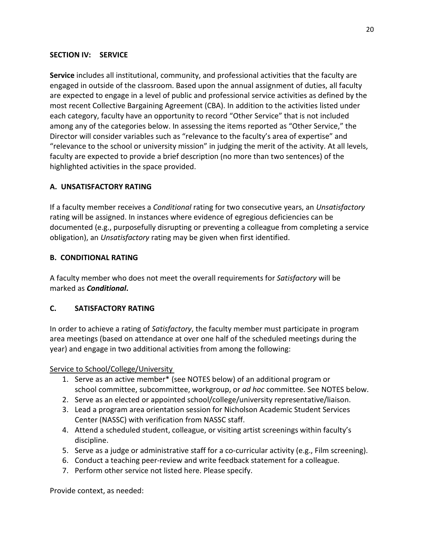### **SECTION IV: SERVICE**

**Service** includes all institutional, community, and professional activities that the faculty are engaged in outside of the classroom. Based upon the annual assignment of duties, all faculty are expected to engage in a level of public and professional service activities as defined by the most recent Collective Bargaining Agreement (CBA). In addition to the activities listed under each category, faculty have an opportunity to record "Other Service" that is not included among any of the categories below. In assessing the items reported as "Other Service," the Director will consider variables such as "relevance to the faculty's area of expertise" and "relevance to the school or university mission" in judging the merit of the activity. At all levels, faculty are expected to provide a brief description (no more than two sentences) of the highlighted activities in the space provided.

### **A. UNSATISFACTORY RATING**

If a faculty member receives a *Conditional* rating for two consecutive years, an *Unsatisfactory* rating will be assigned. In instances where evidence of egregious deficiencies can be documented (e.g., purposefully disrupting or preventing a colleague from completing a service obligation), an *Unsatisfactory* rating may be given when first identified.

### **B. CONDITIONAL RATING**

A faculty member who does not meet the overall requirements for *Satisfactory* will be marked as *Conditional***.**

### **C. SATISFACTORY RATING**

In order to achieve a rating of *Satisfactory*, the faculty member must participate in program area meetings (based on attendance at over one half of the scheduled meetings during the year) and engage in two additional activities from among the following:

Service to School/College/University

- 1. Serve as an active member\* (see NOTES below) of an additional program or school committee, subcommittee, workgroup, or *ad hoc* committee. See NOTES below.
- 2. Serve as an elected or appointed school/college/university representative/liaison.
- 3. Lead a program area orientation session for Nicholson Academic Student Services Center (NASSC) with verification from NASSC staff.
- 4. Attend a scheduled student, colleague, or visiting artist screenings within faculty's discipline.
- 5. Serve as a judge or administrative staff for a co-curricular activity (e.g., Film screening).
- 6. Conduct a teaching peer-review and write feedback statement for a colleague.
- 7. Perform other service not listed here. Please specify.

Provide context, as needed: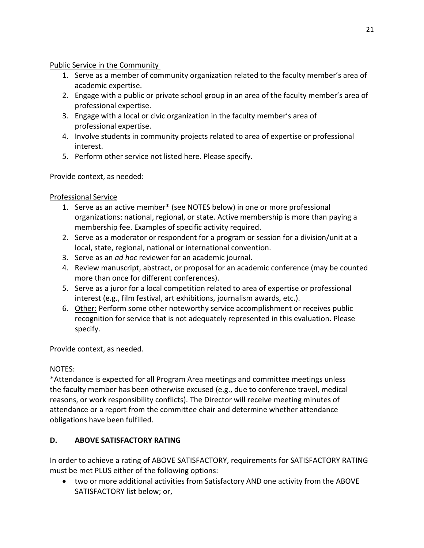### Public Service in the Community

- 1. Serve as a member of community organization related to the faculty member's area of academic expertise.
- 2. Engage with a public or private school group in an area of the faculty member's area of professional expertise.
- 3. Engage with a local or civic organization in the faculty member's area of professional expertise.
- 4. Involve students in community projects related to area of expertise or professional interest.
- 5. Perform other service not listed here. Please specify.

Provide context, as needed:

# Professional Service

- 1. Serve as an active member\* (see NOTES below) in one or more professional organizations: national, regional, or state. Active membership is more than paying a membership fee. Examples of specific activity required.
- 2. Serve as a moderator or respondent for a program or session for a division/unit at a local, state, regional, national or international convention.
- 3. Serve as an *ad hoc* reviewer for an academic journal.
- 4. Review manuscript, abstract, or proposal for an academic conference (may be counted more than once for different conferences).
- 5. Serve as a juror for a local competition related to area of expertise or professional interest (e.g., film festival, art exhibitions, journalism awards, etc.).
- 6. Other: Perform some other noteworthy service accomplishment or receives public recognition for service that is not adequately represented in this evaluation. Please specify.

Provide context, as needed.

# NOTES:

\*Attendance is expected for all Program Area meetings and committee meetings unless the faculty member has been otherwise excused (e.g., due to conference travel, medical reasons, or work responsibility conflicts). The Director will receive meeting minutes of attendance or a report from the committee chair and determine whether attendance obligations have been fulfilled.

# **D. ABOVE SATISFACTORY RATING**

In order to achieve a rating of ABOVE SATISFACTORY, requirements for SATISFACTORY RATING must be met PLUS either of the following options:

• two or more additional activities from Satisfactory AND one activity from the ABOVE SATISFACTORY list below; or,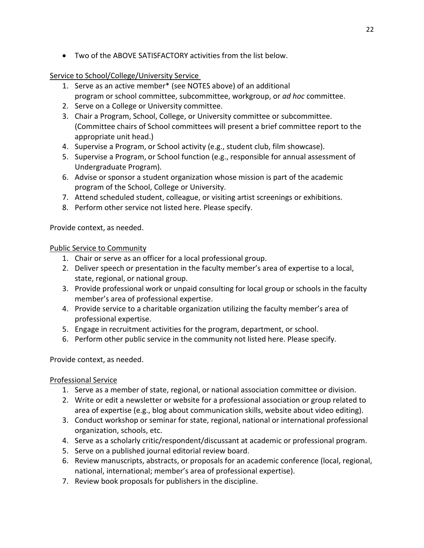• Two of the ABOVE SATISFACTORY activities from the list below.

### Service to School/College/University Service

- 1. Serve as an active member\* (see NOTES above) of an additional program or school committee, subcommittee, workgroup, or *ad hoc* committee.
- 2. Serve on a College or University committee.
- 3. Chair a Program, School, College, or University committee or subcommittee. (Committee chairs of School committees will present a brief committee report to the appropriate unit head.)
- 4. Supervise a Program, or School activity (e.g., student club, film showcase).
- 5. Supervise a Program, or School function (e.g., responsible for annual assessment of Undergraduate Program).
- 6. Advise or sponsor a student organization whose mission is part of the academic program of the School, College or University.
- 7. Attend scheduled student, colleague, or visiting artist screenings or exhibitions.
- 8. Perform other service not listed here. Please specify.

Provide context, as needed.

### Public Service to Community

- 1. Chair or serve as an officer for a local professional group.
- 2. Deliver speech or presentation in the faculty member's area of expertise to a local, state, regional, or national group.
- 3. Provide professional work or unpaid consulting for local group or schools in the faculty member's area of professional expertise.
- 4. Provide service to a charitable organization utilizing the faculty member's area of professional expertise.
- 5. Engage in recruitment activities for the program, department, or school.
- 6. Perform other public service in the community not listed here. Please specify.

Provide context, as needed.

### Professional Service

- 1. Serve as a member of state, regional, or national association committee or division.
- 2. Write or edit a newsletter or website for a professional association or group related to area of expertise (e.g., blog about communication skills, website about video editing).
- 3. Conduct workshop or seminar for state, regional, national or international professional organization, schools, etc.
- 4. Serve as a scholarly critic/respondent/discussant at academic or professional program.
- 5. Serve on a published journal editorial review board.
- 6. Review manuscripts, abstracts, or proposals for an academic conference (local, regional, national, international; member's area of professional expertise).
- 7. Review book proposals for publishers in the discipline.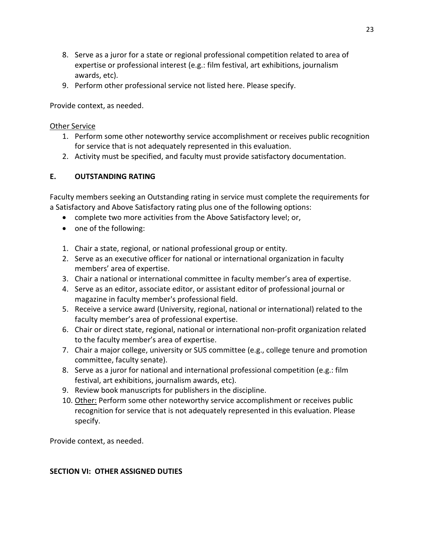- 8. Serve as a juror for a state or regional professional competition related to area of expertise or professional interest (e.g.: film festival, art exhibitions, journalism awards, etc).
- 9. Perform other professional service not listed here. Please specify.

Provide context, as needed.

### Other Service

- 1. Perform some other noteworthy service accomplishment or receives public recognition for service that is not adequately represented in this evaluation.
- 2. Activity must be specified, and faculty must provide satisfactory documentation.

# **E. OUTSTANDING RATING**

Faculty members seeking an Outstanding rating in service must complete the requirements for a Satisfactory and Above Satisfactory rating plus one of the following options:

- complete two more activities from the Above Satisfactory level; or,
- one of the following:
- 1. Chair a state, regional, or national professional group or entity.
- 2. Serve as an executive officer for national or international organization in faculty members' area of expertise.
- 3. Chair a national or international committee in faculty member's area of expertise.
- 4. Serve as an editor, associate editor, or assistant editor of professional journal or magazine in faculty member's professional field.
- 5. Receive a service award (University, regional, national or international) related to the faculty member's area of professional expertise.
- 6. Chair or direct state, regional, national or international non-profit organization related to the faculty member's area of expertise.
- 7. Chair a major college, university or SUS committee (e.g., college tenure and promotion committee, faculty senate).
- 8. Serve as a juror for national and international professional competition (e.g.: film festival, art exhibitions, journalism awards, etc).
- 9. Review book manuscripts for publishers in the discipline.
- 10. Other: Perform some other noteworthy service accomplishment or receives public recognition for service that is not adequately represented in this evaluation. Please specify.

Provide context, as needed.

## **SECTION VI: OTHER ASSIGNED DUTIES**